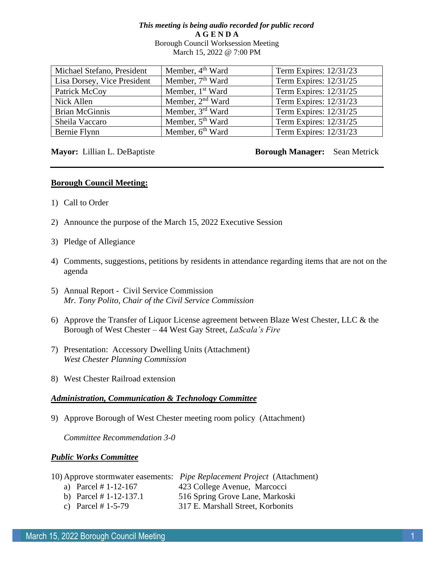# *This meeting is being audio recorded for public record* **A G E N D A**  Borough Council Worksession Meeting March 15, 2022 @ 7:00 PM

| Michael Stefano, President  | Member, 4 <sup>th</sup> Ward | Term Expires: 12/31/23 |
|-----------------------------|------------------------------|------------------------|
| Lisa Dorsey, Vice President | Member, 7 <sup>th</sup> Ward | Term Expires: 12/31/25 |
| Patrick McCoy               | Member, 1 <sup>st</sup> Ward | Term Expires: 12/31/25 |
| Nick Allen                  | Member, 2 <sup>nd</sup> Ward | Term Expires: 12/31/23 |
| <b>Brian McGinnis</b>       | Member, 3 <sup>rd</sup> Ward | Term Expires: 12/31/25 |
| Sheila Vaccaro              | Member, 5 <sup>th</sup> Ward | Term Expires: 12/31/25 |
| Bernie Flynn                | Member, 6 <sup>th</sup> Ward | Term Expires: 12/31/23 |

# **Mayor:** Lillian L. DeBaptiste **Borough Manager:** Sean Metrick

# **Borough Council Meeting:**

- 1) Call to Order
- 2) Announce the purpose of the March 15, 2022 Executive Session
- 3) Pledge of Allegiance
- 4) Comments, suggestions, petitions by residents in attendance regarding items that are not on the agenda
- 5) Annual Report Civil Service Commission *Mr. Tony Polito, Chair of the Civil Service Commission*
- 6) Approve the Transfer of Liquor License agreement between Blaze West Chester, LLC & the Borough of West Chester – 44 West Gay Street, *LaScala's Fire*
- 7) Presentation: Accessory Dwelling Units (Attachment) *West Chester Planning Commission*
- 8) West Chester Railroad extension

# *Administration, Communication & Technology Committee*

9) Approve Borough of West Chester meeting room policy (Attachment)

*Committee Recommendation 3-0*

# *Public Works Committee*

|                          | 10) Approve stormwater easements: <i>Pipe Replacement Project</i> (Attachment) |
|--------------------------|--------------------------------------------------------------------------------|
| a) Parcel # $1-12-167$   | 423 College Avenue, Marcocci                                                   |
| b) Parcel $# 1-12-137.1$ | 516 Spring Grove Lane, Markoski                                                |
| c) Parcel # $1-5-79$     | 317 E. Marshall Street, Korbonits                                              |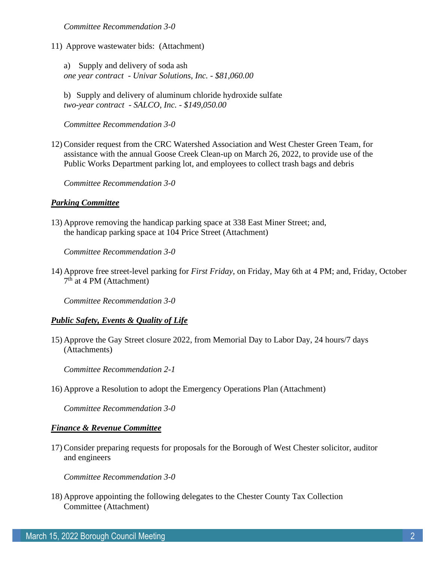*Committee Recommendation 3-0*

11) Approve wastewater bids: (Attachment)

a) Supply and delivery of soda ash *one year contract - Univar Solutions, Inc. - \$81,060.00*

b) Supply and delivery of aluminum chloride hydroxide sulfate *two-year contract - SALCO, Inc. - \$149,050.00*

*Committee Recommendation 3-0*

12) Consider request from the CRC Watershed Association and West Chester Green Team, for assistance with the annual Goose Creek Clean-up on March 26, 2022, to provide use of the Public Works Department parking lot, and employees to collect trash bags and debris

*Committee Recommendation 3-0*

## *Parking Committee*

13) Approve removing the handicap parking space at 338 East Miner Street; and, the handicap parking space at 104 Price Street (Attachment)

*Committee Recommendation 3-0*

14) Approve free street-level parking for *First Friday*, on Friday, May 6th at 4 PM; and, Friday, October 7<sup>th</sup> at 4 PM (Attachment)

*Committee Recommendation 3-0*

# *Public Safety, Events & Quality of Life*

15) Approve the Gay Street closure 2022, from Memorial Day to Labor Day, 24 hours/7 days (Attachments)

*Committee Recommendation 2-1*

16) Approve a Resolution to adopt the Emergency Operations Plan (Attachment)

*Committee Recommendation 3-0*

### *Finance & Revenue Committee*

17) Consider preparing requests for proposals for the Borough of West Chester solicitor, auditor and engineers

*Committee Recommendation 3-0*

18) Approve appointing the following delegates to the Chester County Tax Collection Committee (Attachment)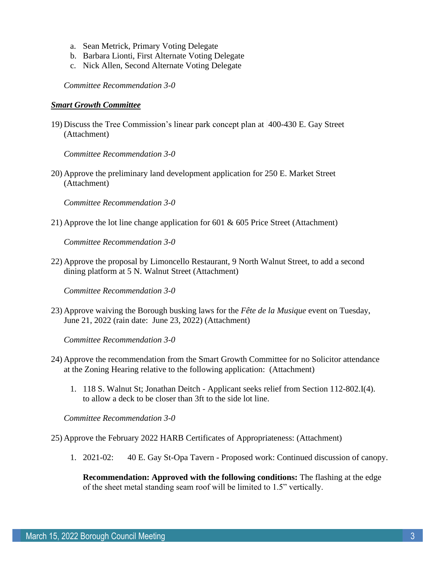- a. Sean Metrick, Primary Voting Delegate
- b. Barbara Lionti, First Alternate Voting Delegate
- c. Nick Allen, Second Alternate Voting Delegate

*Committee Recommendation 3-0*

# *Smart Growth Committee*

19) Discuss the Tree Commission's linear park concept plan at 400-430 E. Gay Street (Attachment)

*Committee Recommendation 3-0*

20) Approve the preliminary land development application for 250 E. Market Street (Attachment)

*Committee Recommendation 3-0*

21) Approve the lot line change application for 601 & 605 Price Street (Attachment)

*Committee Recommendation 3-0*

22) Approve the proposal by Limoncello Restaurant, 9 North Walnut Street, to add a second dining platform at 5 N. Walnut Street (Attachment)

*Committee Recommendation 3-0*

23) Approve waiving the Borough busking laws for the *Fête de la Musique* event on Tuesday, June 21, 2022 (rain date: June 23, 2022) (Attachment)

*Committee Recommendation 3-0*

- 24) Approve the recommendation from the Smart Growth Committee for no Solicitor attendance at the Zoning Hearing relative to the following application: (Attachment)
	- 1. 118 S. Walnut St; Jonathan Deitch Applicant seeks relief from Section 112-802.I(4). to allow a deck to be closer than 3ft to the side lot line.

*Committee Recommendation 3-0*

25) Approve the February 2022 HARB Certificates of Appropriateness: (Attachment)

1. 2021-02: 40 E. Gay St-Opa Tavern - Proposed work: Continued discussion of canopy.

**Recommendation: Approved with the following conditions:** The flashing at the edge of the sheet metal standing seam roof will be limited to 1.5" vertically.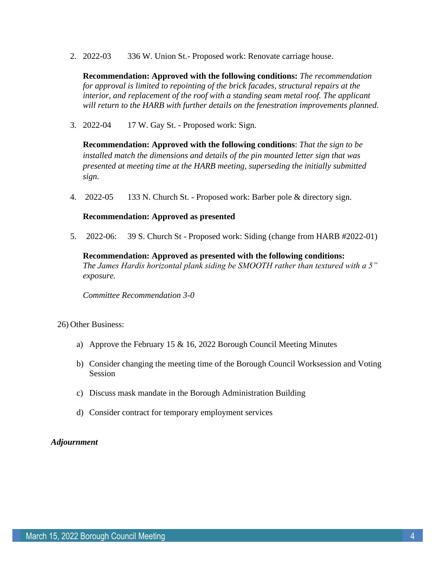2. 2022-03 336 W. Union St.- Proposed work: Renovate carriage house.

**Recommendation: Approved with the following conditions:** *The recommendation for approval is limited to repointing of the brick facades, structural repairs at the interior, and replacement of the roof with a standing seam metal roof. The applicant will return to the HARB with further details on the fenestration improvements planned.* 

3. 2022-04 17 W. Gay St. - Proposed work: Sign.

**Recommendation: Approved with the following conditions**: *That the sign to be installed match the dimensions and details of the pin mounted letter sign that was presented at meeting time at the HARB meeting, superseding the initially submitted sign.*

4. 2022-05 133 N. Church St. - Proposed work: Barber pole & directory sign.

# **Recommendation: Approved as presented**

5. 2022-06: 39 S. Church St - Proposed work: Siding (change from HARB #2022-01)

# **Recommendation: Approved as presented with the following conditions:**

*The James Hardis horizontal plank siding be SMOOTH rather than textured with a 5" exposure.* 

*Committee Recommendation 3-0*

26) Other Business:

- a) Approve the February 15 & 16, 2022 Borough Council Meeting Minutes
- b) Consider changing the meeting time of the Borough Council Worksession and Voting Session
- c) Discuss mask mandate in the Borough Administration Building
- d) Consider contract for temporary employment services

# *Adjournment*